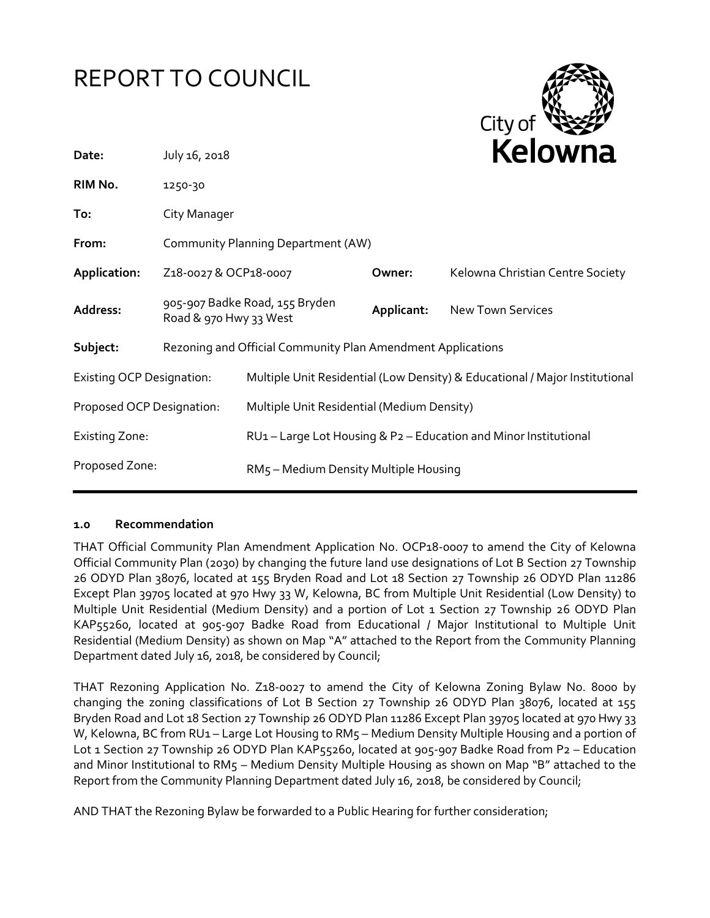# REPORT TO COUNCIL



| Date:                            | July 16, 2018                                               |                                            | Kelowna    |                                                                             |
|----------------------------------|-------------------------------------------------------------|--------------------------------------------|------------|-----------------------------------------------------------------------------|
| RIM No.                          | 1250-30                                                     |                                            |            |                                                                             |
| To:                              | City Manager                                                |                                            |            |                                                                             |
| From:                            | Community Planning Department (AW)                          |                                            |            |                                                                             |
| Application:                     | Z18-0027 & OCP18-0007                                       |                                            | Owner:     | Kelowna Christian Centre Society                                            |
| Address:                         | 905-907 Badke Road, 155 Bryden<br>Road & 970 Hwy 33 West    |                                            | Applicant: | <b>New Town Services</b>                                                    |
| Subject:                         | Rezoning and Official Community Plan Amendment Applications |                                            |            |                                                                             |
| <b>Existing OCP Designation:</b> |                                                             |                                            |            | Multiple Unit Residential (Low Density) & Educational / Major Institutional |
| Proposed OCP Designation:        |                                                             | Multiple Unit Residential (Medium Density) |            |                                                                             |
| <b>Existing Zone:</b>            |                                                             |                                            |            | RU1 - Large Lot Housing & P2 - Education and Minor Institutional            |
| Proposed Zone:                   |                                                             | RM5 - Medium Density Multiple Housing      |            |                                                                             |

#### **1.0 Recommendation**

THAT Official Community Plan Amendment Application No. OCP18-0007 to amend the City of Kelowna Official Community Plan (2030) by changing the future land use designations of Lot B Section 27 Township 26 ODYD Plan 38076, located at 155 Bryden Road and Lot 18 Section 27 Township 26 ODYD Plan 11286 Except Plan 39705 located at 970 Hwy 33 W, Kelowna, BC from Multiple Unit Residential (Low Density) to Multiple Unit Residential (Medium Density) and a portion of Lot 1 Section 27 Township 26 ODYD Plan KAP55260, located at 905-907 Badke Road from Educational / Major Institutional to Multiple Unit Residential (Medium Density) as shown on Map "A" attached to the Report from the Community Planning Department dated July 16, 2018, be considered by Council;

THAT Rezoning Application No. Z18-0027 to amend the City of Kelowna Zoning Bylaw No. 8000 by changing the zoning classifications of Lot B Section 27 Township 26 ODYD Plan 38076, located at 155 Bryden Road and Lot 18 Section 27 Township 26 ODYD Plan 11286 Except Plan 39705 located at 970 Hwy 33 W, Kelowna, BC from RU1 – Large Lot Housing to RM5 – Medium Density Multiple Housing and a portion of Lot 1 Section 27 Township 26 ODYD Plan KAP55260, located at 905-907 Badke Road from P2 - Education and Minor Institutional to RM5 – Medium Density Multiple Housing as shown on Map "B" attached to the Report from the Community Planning Department dated July 16, 2018, be considered by Council;

AND THAT the Rezoning Bylaw be forwarded to a Public Hearing for further consideration;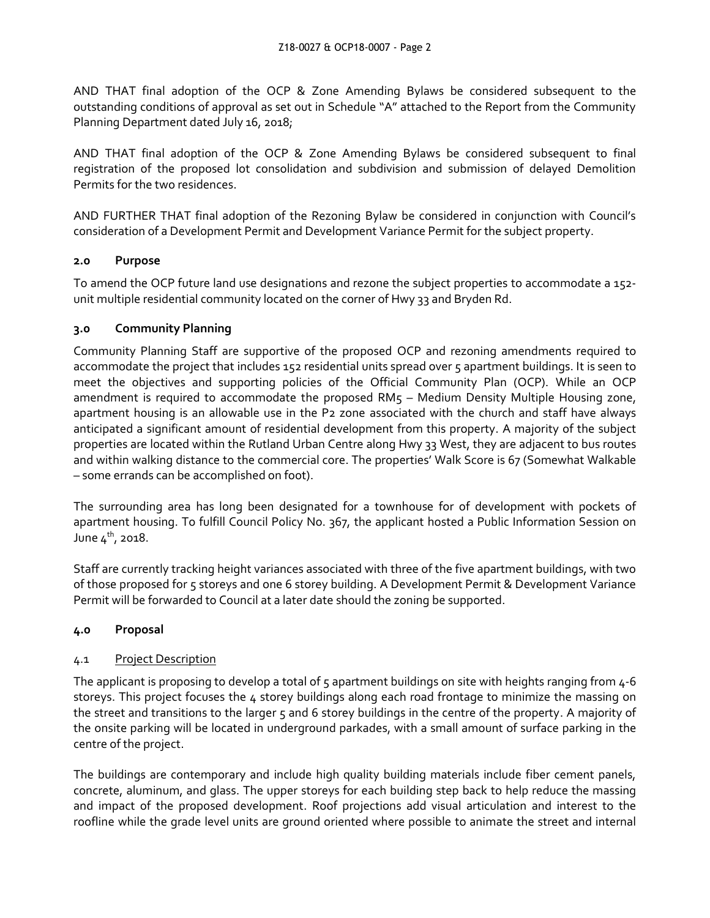AND THAT final adoption of the OCP & Zone Amending Bylaws be considered subsequent to the outstanding conditions of approval as set out in Schedule "A" attached to the Report from the Community Planning Department dated July 16, 2018;

AND THAT final adoption of the OCP & Zone Amending Bylaws be considered subsequent to final registration of the proposed lot consolidation and subdivision and submission of delayed Demolition Permits for the two residences.

AND FURTHER THAT final adoption of the Rezoning Bylaw be considered in conjunction with Council's consideration of a Development Permit and Development Variance Permit for the subject property.

# **2.0 Purpose**

To amend the OCP future land use designations and rezone the subject properties to accommodate a 152 unit multiple residential community located on the corner of Hwy 33 and Bryden Rd.

# **3.0 Community Planning**

Community Planning Staff are supportive of the proposed OCP and rezoning amendments required to accommodate the project that includes 152 residential units spread over 5 apartment buildings. It is seen to meet the objectives and supporting policies of the Official Community Plan (OCP). While an OCP amendment is required to accommodate the proposed RM5 - Medium Density Multiple Housing zone, apartment housing is an allowable use in the P2 zone associated with the church and staff have always anticipated a significant amount of residential development from this property. A majority of the subject properties are located within the Rutland Urban Centre along Hwy 33 West, they are adjacent to bus routes and within walking distance to the commercial core. The properties' Walk Score is 67 (Somewhat Walkable – some errands can be accomplished on foot).

The surrounding area has long been designated for a townhouse for of development with pockets of apartment housing. To fulfill Council Policy No. 367, the applicant hosted a Public Information Session on June  $4^{th}$ , 2018.

Staff are currently tracking height variances associated with three of the five apartment buildings, with two of those proposed for 5 storeys and one 6 storey building. A Development Permit & Development Variance Permit will be forwarded to Council at a later date should the zoning be supported.

# **4.0 Proposal**

# 4.1 Project Description

The applicant is proposing to develop a total of 5 apartment buildings on site with heights ranging from 4-6 storeys. This project focuses the 4 storey buildings along each road frontage to minimize the massing on the street and transitions to the larger 5 and 6 storey buildings in the centre of the property. A majority of the onsite parking will be located in underground parkades, with a small amount of surface parking in the centre of the project.

The buildings are contemporary and include high quality building materials include fiber cement panels, concrete, aluminum, and glass. The upper storeys for each building step back to help reduce the massing and impact of the proposed development. Roof projections add visual articulation and interest to the roofline while the grade level units are ground oriented where possible to animate the street and internal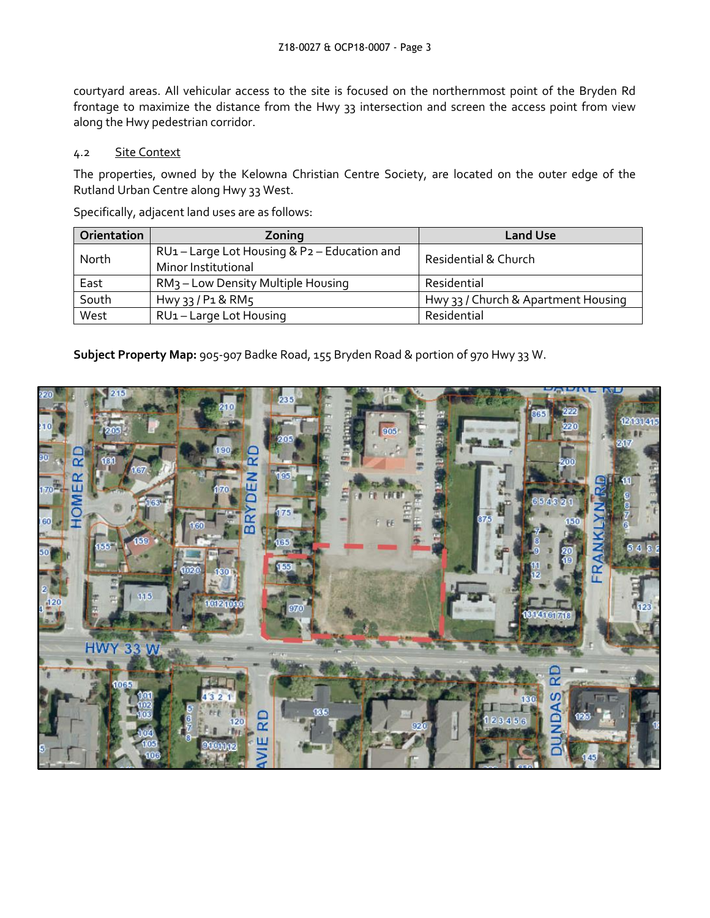courtyard areas. All vehicular access to the site is focused on the northernmost point of the Bryden Rd frontage to maximize the distance from the Hwy 33 intersection and screen the access point from view along the Hwy pedestrian corridor.

#### 4.2 Site Context

The properties, owned by the Kelowna Christian Centre Society, are located on the outer edge of the Rutland Urban Centre along Hwy 33 West.

Specifically, adjacent land uses are as follows:

| Orientation | Zoning                                                          | <b>Land Use</b>                     |
|-------------|-----------------------------------------------------------------|-------------------------------------|
| North       | RU1-Large Lot Housing & P2-Education and<br>Minor Institutional | Residential & Church                |
| East        | RM <sub>3</sub> – Low Density Multiple Housing                  | Residential                         |
| South       | $Hw\gamma$ 33 / P1 & RM5                                        | Hwy 33 / Church & Apartment Housing |
| West        | RU <sub>1</sub> - Large Lot Housing                             | Residential                         |

**Subject Property Map:** 905-907 Badke Road, 155 Bryden Road & portion of 970 Hwy 33 W.

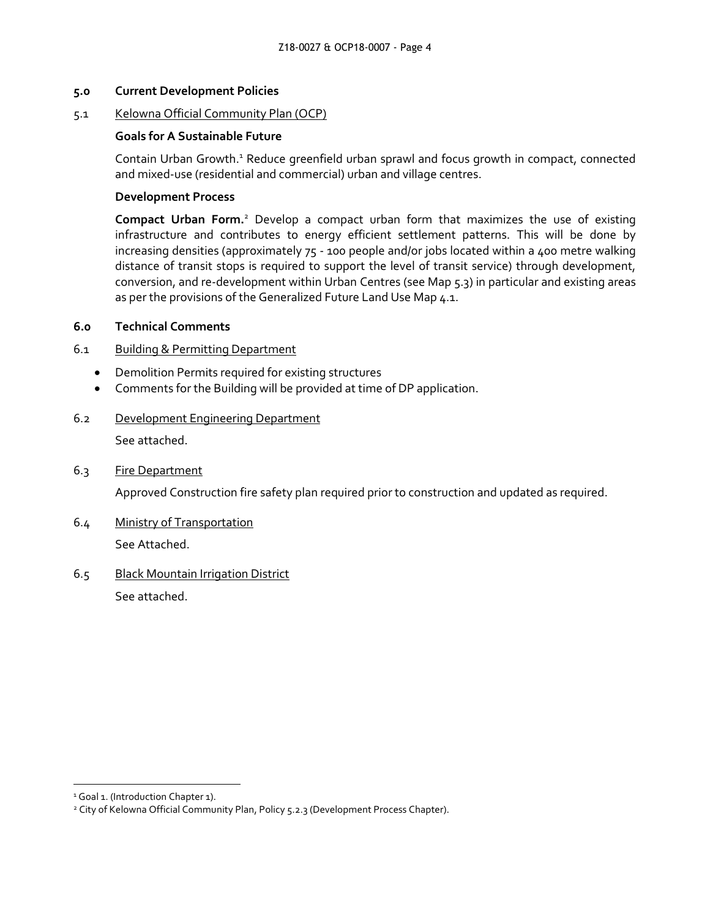#### **5.0 Current Development Policies**

#### 5.1 Kelowna Official Community Plan (OCP)

#### **Goals for A Sustainable Future**

Contain Urban Growth.<sup>1</sup> Reduce greenfield urban sprawl and focus growth in compact, connected and mixed-use (residential and commercial) urban and village centres.

#### **Development Process**

**Compact Urban Form.**<sup>2</sup> Develop a compact urban form that maximizes the use of existing infrastructure and contributes to energy efficient settlement patterns. This will be done by increasing densities (approximately 75 - 100 people and/or jobs located within a 400 metre walking distance of transit stops is required to support the level of transit service) through development, conversion, and re-development within Urban Centres (see Map 5.3) in particular and existing areas as per the provisions of the Generalized Future Land Use Map 4.1.

#### **6.0 Technical Comments**

#### 6.1 Building & Permitting Department

- Demolition Permits required for existing structures
- Comments for the Building will be provided at time of DP application.

# 6.2 Development Engineering Department

See attached.

#### 6.3 Fire Department

Approved Construction fire safety plan required prior to construction and updated as required.

6.4 Ministry of Transportation See Attached.

# 6.5 Black Mountain Irrigation District See attached.

1

<sup>&</sup>lt;sup>1</sup> Goal 1. (Introduction Chapter 1).

<sup>&</sup>lt;sup>2</sup> City of Kelowna Official Community Plan, Policy 5.2.3 (Development Process Chapter).